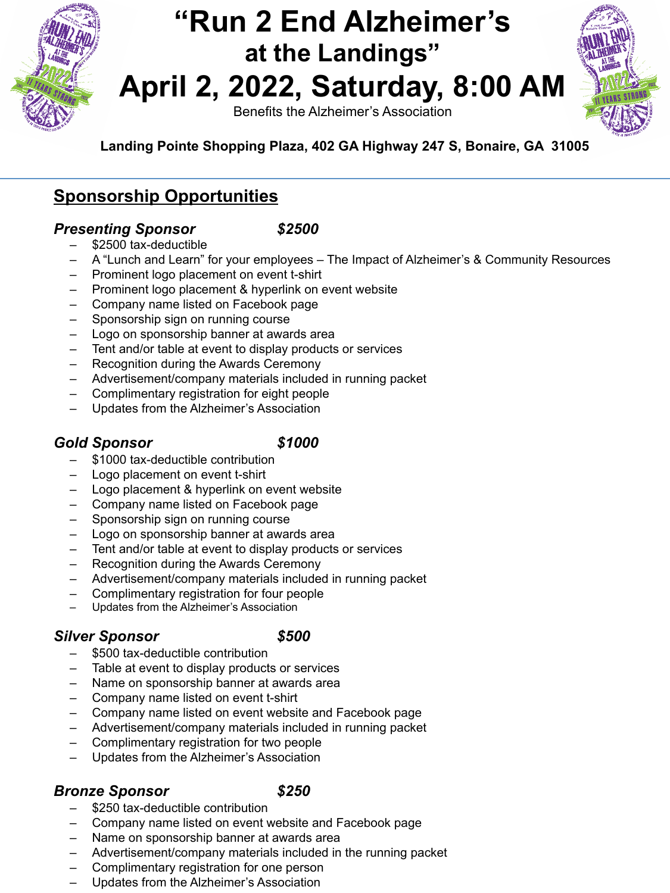

## **"Run 2 End Alzheimer's at the Landings" April 2, 2022, Saturday, 8:00 AM**

Benefits the Alzheimer's Association



### **Sponsorship Opportunities**

### *Presenting Sponsor \$2500*

- \$2500 tax-deductible
- A "Lunch and Learn" for your employees The Impact of Alzheimer's & Community Resources
- Prominent logo placement on event t-shirt
- Prominent logo placement & hyperlink on event website
- Company name listed on Facebook page
- Sponsorship sign on running course
- Logo on sponsorship banner at awards area
- Tent and/or table at event to display products or services
- Recognition during the Awards Ceremony
- Advertisement/company materials included in running packet
- Complimentary registration for eight people
- Updates from the Alzheimer's Association

### *Gold Sponsor \$1000*

- \$1000 tax-deductible contribution
- Logo placement on event t-shirt
- Logo placement & hyperlink on event website
- Company name listed on Facebook page
- Sponsorship sign on running course
- Logo on sponsorship banner at awards area
- Tent and/or table at event to display products or services
- Recognition during the Awards Ceremony
- Advertisement/company materials included in running packet
- Complimentary registration for four people
- Updates from the Alzheimer's Association

### *Silver Sponsor \$500*

- \$500 tax-deductible contribution
- Table at event to display products or services
- Name on sponsorship banner at awards area
- Company name listed on event t-shirt
- Company name listed on event website and Facebook page
- Advertisement/company materials included in running packet
- Complimentary registration for two people
- Updates from the Alzheimer's Association

### *Bronze Sponsor \$250*

- \$250 tax-deductible contribution
- Company name listed on event website and Facebook page
- Name on sponsorship banner at awards area
- Advertisement/company materials included in the running packet
- Complimentary registration for one person
- Updates from the Alzheimer's Association